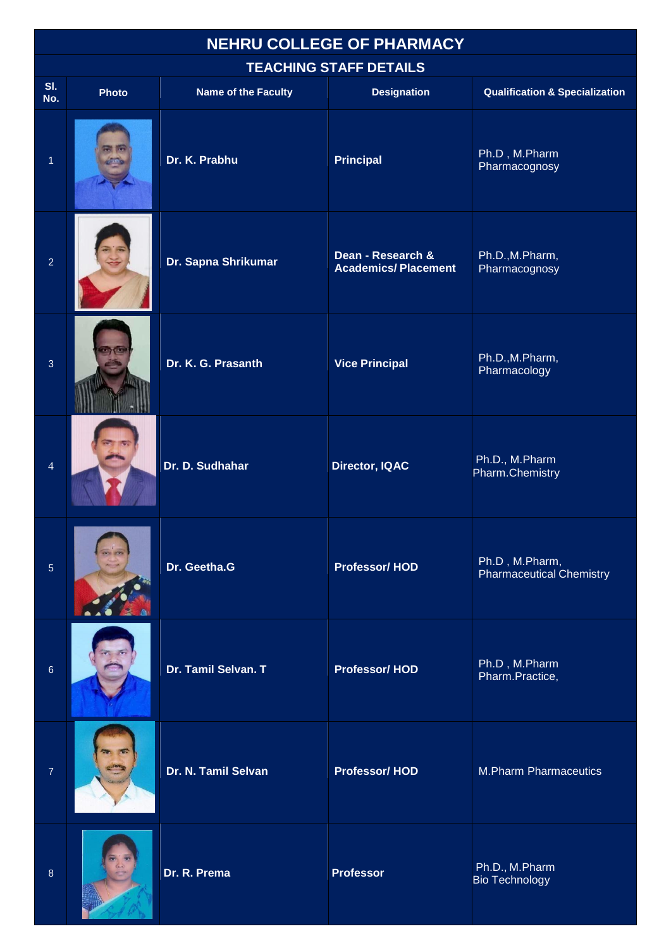## **NEHRU COLLEGE OF PHARMACY**

## **TEACHING STAFF DETAILS**

|                | <b>I EAUNINU JI AFF DE FAILU</b> |                            |                                                 |                                                   |  |  |
|----------------|----------------------------------|----------------------------|-------------------------------------------------|---------------------------------------------------|--|--|
| SI.<br>No.     | Photo                            | <b>Name of the Faculty</b> | <b>Designation</b>                              | <b>Qualification &amp; Specialization</b>         |  |  |
| $\overline{1}$ |                                  | Dr. K. Prabhu              | <b>Principal</b>                                | Ph.D, M.Pharm<br>Pharmacognosy                    |  |  |
| $\overline{2}$ |                                  | Dr. Sapna Shrikumar        | Dean - Research &<br><b>Academics/Placement</b> | Ph.D., M. Pharm,<br>Pharmacognosy                 |  |  |
| $\overline{3}$ |                                  | Dr. K. G. Prasanth         | <b>Vice Principal</b>                           | Ph.D., M. Pharm,<br>Pharmacology                  |  |  |
| $\overline{4}$ |                                  | Dr. D. Sudhahar            | Director, IQAC                                  | Ph.D., M.Pharm<br>Pharm.Chemistry                 |  |  |
| 5              |                                  | Dr. Geetha.G               | <b>Professor/HOD</b>                            | Ph.D, M.Pharm,<br><b>Pharmaceutical Chemistry</b> |  |  |
| $\,6\,$        |                                  | Dr. Tamil Selvan. T        | <b>Professor/HOD</b>                            | Ph.D, M.Pharm<br>Pharm.Practice,                  |  |  |
| $\overline{7}$ |                                  | Dr. N. Tamil Selvan        | <b>Professor/HOD</b>                            | <b>M.Pharm Pharmaceutics</b>                      |  |  |
| $\,8\,$        |                                  | Dr. R. Prema               | <b>Professor</b>                                | Ph.D., M.Pharm<br><b>Bio Technology</b>           |  |  |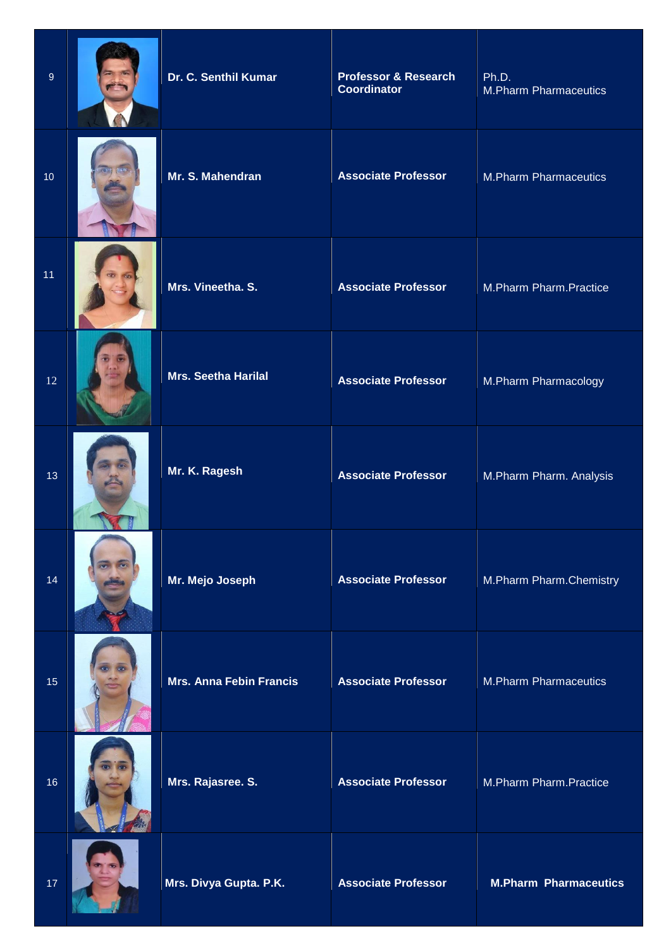| $9\,$ | Dr. C. Senthil Kumar           | <b>Professor &amp; Research</b><br><b>Coordinator</b> | Ph.D.<br><b>M.Pharm Pharmaceutics</b> |
|-------|--------------------------------|-------------------------------------------------------|---------------------------------------|
| 10    | Mr. S. Mahendran               | <b>Associate Professor</b>                            | <b>M.Pharm Pharmaceutics</b>          |
| 11    | Mrs. Vineetha. S.              | <b>Associate Professor</b>                            | M.Pharm Pharm.Practice                |
| 12    | <b>Mrs. Seetha Harilal</b>     | <b>Associate Professor</b>                            | M.Pharm Pharmacology                  |
| 13    | Mr. K. Ragesh                  | <b>Associate Professor</b>                            | M.Pharm Pharm. Analysis               |
| 14    | Mr. Mejo Joseph                | <b>Associate Professor</b>                            | M.Pharm Pharm.Chemistry               |
| 15    | <b>Mrs. Anna Febin Francis</b> | <b>Associate Professor</b>                            | <b>M.Pharm Pharmaceutics</b>          |
| 16    | Mrs. Rajasree. S.              | <b>Associate Professor</b>                            | M.Pharm Pharm.Practice                |
| 17    | Mrs. Divya Gupta. P.K.         | <b>Associate Professor</b>                            | <b>M.Pharm Pharmaceutics</b>          |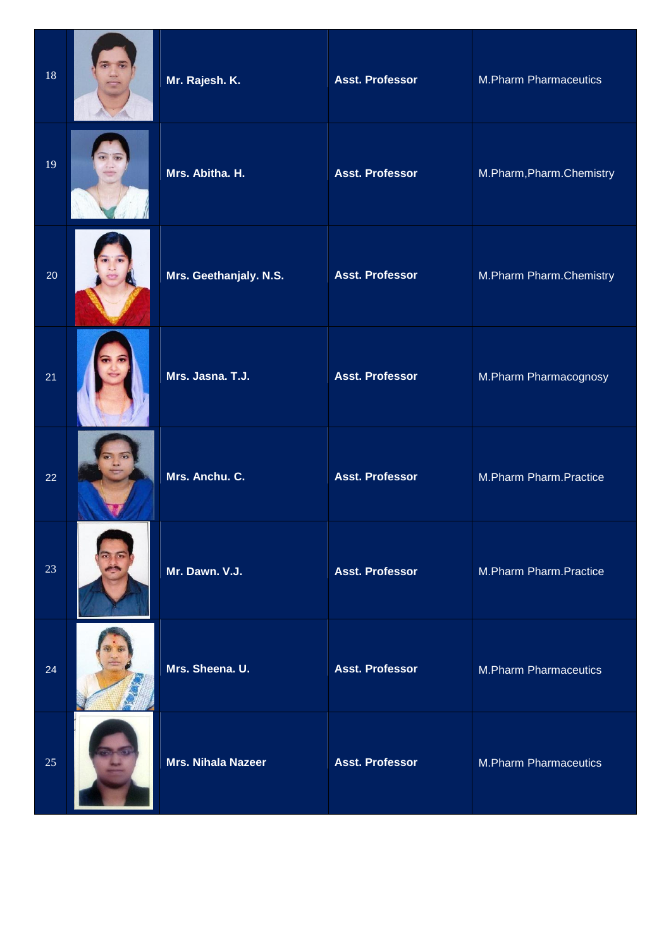| 18 | Mr. Rajesh. K.            | <b>Asst. Professor</b> | <b>M.Pharm Pharmaceutics</b> |
|----|---------------------------|------------------------|------------------------------|
| 19 | Mrs. Abitha. H.           | <b>Asst. Professor</b> | M.Pharm, Pharm. Chemistry    |
| 20 | Mrs. Geethanjaly. N.S.    | <b>Asst. Professor</b> | M.Pharm Pharm.Chemistry      |
| 21 | Mrs. Jasna. T.J.          | <b>Asst. Professor</b> | M.Pharm Pharmacognosy        |
| 22 | Mrs. Anchu. C.            | <b>Asst. Professor</b> | M.Pharm Pharm.Practice       |
| 23 | Mr. Dawn. V.J.            | <b>Asst. Professor</b> | M.Pharm Pharm.Practice       |
| 24 | Mrs. Sheena. U.           | <b>Asst. Professor</b> | <b>M.Pharm Pharmaceutics</b> |
| 25 | <b>Mrs. Nihala Nazeer</b> | <b>Asst. Professor</b> | <b>M.Pharm Pharmaceutics</b> |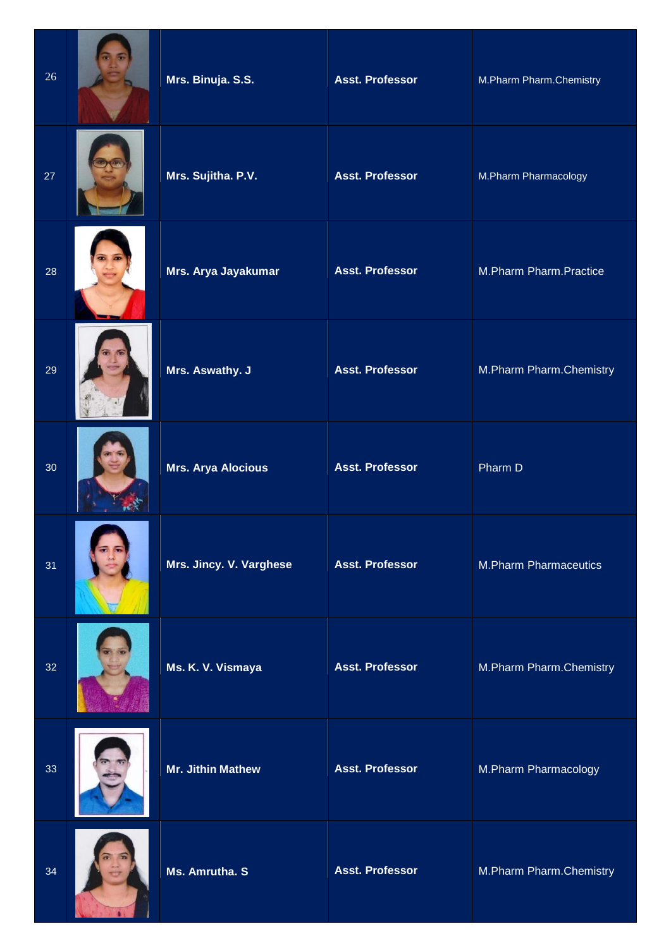| 26 | Mrs. Binuja. S.S.         | <b>Asst. Professor</b> | M.Pharm Pharm.Chemistry      |
|----|---------------------------|------------------------|------------------------------|
| 27 | Mrs. Sujitha. P.V.        | <b>Asst. Professor</b> | M.Pharm Pharmacology         |
| 28 | Mrs. Arya Jayakumar       | <b>Asst. Professor</b> | M.Pharm Pharm.Practice       |
| 29 | Mrs. Aswathy. J           | <b>Asst. Professor</b> | M.Pharm Pharm.Chemistry      |
| 30 | <b>Mrs. Arya Alocious</b> | <b>Asst. Professor</b> | Pharm D                      |
| 31 | Mrs. Jincy. V. Varghese   | <b>Asst. Professor</b> | <b>M.Pharm Pharmaceutics</b> |
| 32 | Ms. K. V. Vismaya         | <b>Asst. Professor</b> | M.Pharm Pharm.Chemistry      |
| 33 | Mr. Jithin Mathew         | <b>Asst. Professor</b> | M.Pharm Pharmacology         |
| 34 | Ms. Amrutha. S            | <b>Asst. Professor</b> | M.Pharm Pharm.Chemistry      |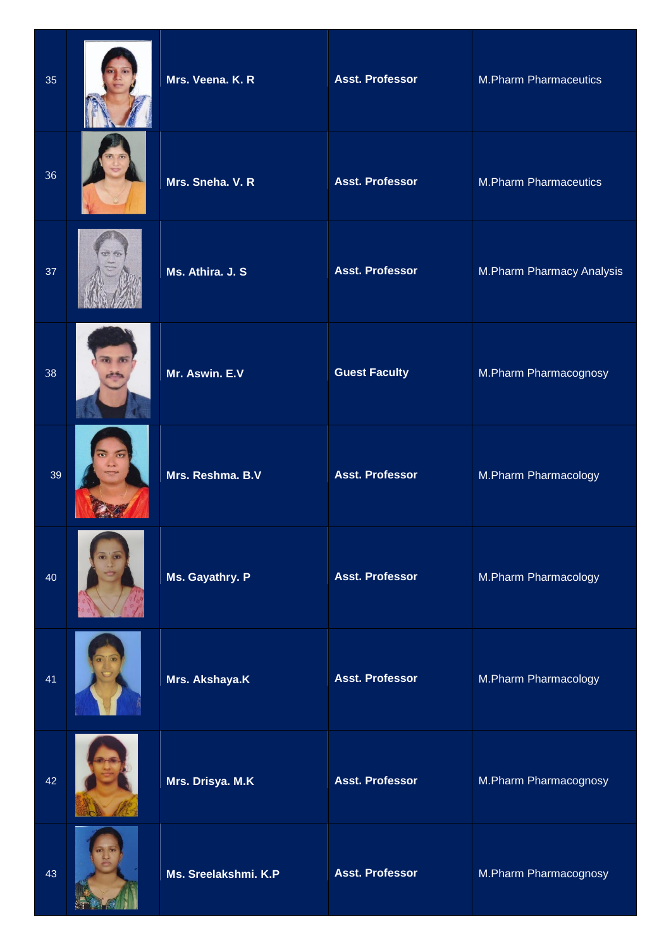| 35 | Mrs. Veena. K. R     | <b>Asst. Professor</b> | <b>M.Pharm Pharmaceutics</b> |
|----|----------------------|------------------------|------------------------------|
| 36 | Mrs. Sneha. V. R     | <b>Asst. Professor</b> | <b>M.Pharm Pharmaceutics</b> |
| 37 | Ms. Athira. J. S.    | <b>Asst. Professor</b> | M.Pharm Pharmacy Analysis    |
| 38 | Mr. Aswin. E.V       | <b>Guest Faculty</b>   | M.Pharm Pharmacognosy        |
| 39 | Mrs. Reshma. B.V     | <b>Asst. Professor</b> | M.Pharm Pharmacology         |
| 40 | Ms. Gayathry. P      | <b>Asst. Professor</b> | M.Pharm Pharmacology         |
| 41 | Mrs. Akshaya.K       | <b>Asst. Professor</b> | M.Pharm Pharmacology         |
| 42 | Mrs. Drisya. M.K     | <b>Asst. Professor</b> | M.Pharm Pharmacognosy        |
| 43 | Ms. Sreelakshmi. K.P | <b>Asst. Professor</b> | M.Pharm Pharmacognosy        |